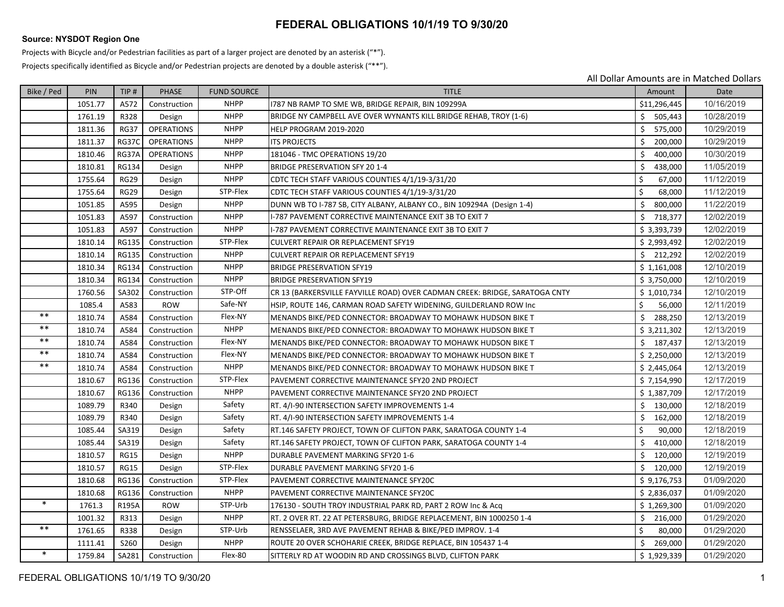## **FEDERAL OBLIGATIONS 10/1/19 TO 9/30/20**

## **Source: NYSDOT Region One**

Projects with Bicycle and/or Pedestrian facilities as part of <sup>a</sup> larger project are denoted by an asterisk ("\*").

Projects specifically identified as Bicycle and/or Pedestrian projects are denoted by <sup>a</sup> double asterisk ("\*\*").

All Dollar Amounts are in Matched Dollars

| Bike / Ped | <b>PIN</b> | TIP#         | <b>PHASE</b>      | <b>FUND SOURCE</b> | <b>TITLE</b>                                                                | Amount        | Date       |
|------------|------------|--------------|-------------------|--------------------|-----------------------------------------------------------------------------|---------------|------------|
|            | 1051.77    | A572         | Construction      | <b>NHPP</b>        | 1787 NB RAMP TO SME WB, BRIDGE REPAIR, BIN 109299A                          | \$11,296,445  | 10/16/2019 |
|            | 1761.19    | R328         | Design            | <b>NHPP</b>        | BRIDGE NY CAMPBELL AVE OVER WYNANTS KILL BRIDGE REHAB, TROY (1-6)           | \$505,443     | 10/28/2019 |
|            | 1811.36    | <b>RG37</b>  | <b>OPERATIONS</b> | <b>NHPP</b>        | HELP PROGRAM 2019-2020                                                      | Ś.<br>575,000 | 10/29/2019 |
|            | 1811.37    | <b>RG37C</b> | <b>OPERATIONS</b> | <b>NHPP</b>        | <b>ITS PROJECTS</b>                                                         | \$<br>200,000 | 10/29/2019 |
|            | 1810.46    | RG37A        | <b>OPERATIONS</b> | <b>NHPP</b>        | 181046 - TMC OPERATIONS 19/20                                               | \$<br>400,000 | 10/30/2019 |
|            | 1810.81    | <b>RG134</b> | Design            | <b>NHPP</b>        | <b>BRIDGE PRESERVATION SFY 20 1-4</b>                                       | Ś.<br>438,000 | 11/05/2019 |
|            | 1755.64    | <b>RG29</b>  | Design            | <b>NHPP</b>        | CDTC TECH STAFF VARIOUS COUNTIES 4/1/19-3/31/20                             | \$<br>67,000  | 11/12/2019 |
|            | 1755.64    | <b>RG29</b>  | Design            | STP-Flex           | CDTC TECH STAFF VARIOUS COUNTIES 4/1/19-3/31/20                             | \$<br>68,000  | 11/12/2019 |
|            | 1051.85    | A595         | Design            | <b>NHPP</b>        | DUNN WB TO I-787 SB, CITY ALBANY, ALBANY CO., BIN 109294A (Design 1-4)      | \$<br>800,000 | 11/22/2019 |
|            | 1051.83    | A597         | Construction      | <b>NHPP</b>        | I-787 PAVEMENT CORRECTIVE MAINTENANCE EXIT 3B TO EXIT 7                     | \$718,377     | 12/02/2019 |
|            | 1051.83    | A597         | Construction      | <b>NHPP</b>        | I-787 PAVEMENT CORRECTIVE MAINTENANCE EXIT 3B TO EXIT 7                     | \$3,393,739   | 12/02/2019 |
|            | 1810.14    | <b>RG135</b> | Construction      | STP-Flex           | CULVERT REPAIR OR REPLACEMENT SFY19                                         | \$2,993,492   | 12/02/2019 |
|            | 1810.14    | <b>RG135</b> | Construction      | <b>NHPP</b>        | CULVERT REPAIR OR REPLACEMENT SFY19                                         | \$212,292     | 12/02/2019 |
|            | 1810.34    | <b>RG134</b> | Construction      | <b>NHPP</b>        | <b>BRIDGE PRESERVATION SFY19</b>                                            | \$1,161,008   | 12/10/2019 |
|            | 1810.34    | <b>RG134</b> | Construction      | <b>NHPP</b>        | <b>BRIDGE PRESERVATION SFY19</b>                                            | \$3,750,000   | 12/10/2019 |
|            | 1760.56    | SA302        | Construction      | STP-Off            | CR 13 (BARKERSVILLE FAYVILLE ROAD) OVER CADMAN CREEK: BRIDGE, SARATOGA CNTY | \$1,010,734   | 12/10/2019 |
|            | 1085.4     | A583         | <b>ROW</b>        | Safe-NY            | HSIP, ROUTE 146, CARMAN ROAD SAFETY WIDENING, GUILDERLAND ROW Inc           | Ś.<br>56,000  | 12/11/2019 |
| $* *$      | 1810.74    | A584         | Construction      | Flex-NY            | MENANDS BIKE/PED CONNECTOR: BROADWAY TO MOHAWK HUDSON BIKE T                | Ś.<br>288,250 | 12/13/2019 |
| $***$      | 1810.74    | A584         | Construction      | <b>NHPP</b>        | MENANDS BIKE/PED CONNECTOR: BROADWAY TO MOHAWK HUDSON BIKE T                | \$3,211,302   | 12/13/2019 |
| $***$      | 1810.74    | A584         | Construction      | Flex-NY            | MENANDS BIKE/PED CONNECTOR: BROADWAY TO MOHAWK HUDSON BIKE T                | \$187,437     | 12/13/2019 |
| $***$      | 1810.74    | A584         | Construction      | Flex-NY            | MENANDS BIKE/PED CONNECTOR: BROADWAY TO MOHAWK HUDSON BIKE T                | \$2.250.000   | 12/13/2019 |
| $***$      | 1810.74    | A584         | Construction      | <b>NHPP</b>        | MENANDS BIKE/PED CONNECTOR: BROADWAY TO MOHAWK HUDSON BIKE T                | \$2,445,064   | 12/13/2019 |
|            | 1810.67    | <b>RG136</b> | Construction      | STP-Flex           | PAVEMENT CORRECTIVE MAINTENANCE SFY20 2ND PROJECT                           | \$7,154,990   | 12/17/2019 |
|            | 1810.67    | <b>RG136</b> | Construction      | <b>NHPP</b>        | PAVEMENT CORRECTIVE MAINTENANCE SFY20 2ND PROJECT                           | \$1,387,709   | 12/17/2019 |
|            | 1089.79    | R340         | Design            | Safety             | RT. 4/I-90 INTERSECTION SAFETY IMPROVEMENTS 1-4                             | \$130,000     | 12/18/2019 |
|            | 1089.79    | R340         | Design            | Safety             | RT. 4/I-90 INTERSECTION SAFETY IMPROVEMENTS 1-4                             | \$<br>162,000 | 12/18/2019 |
|            | 1085.44    | SA319        | Design            | Safety             | RT.146 SAFETY PROJECT, TOWN OF CLIFTON PARK, SARATOGA COUNTY 1-4            | Ś.<br>90,000  | 12/18/2019 |
|            | 1085.44    | SA319        | Design            | Safety             | RT.146 SAFETY PROJECT, TOWN OF CLIFTON PARK, SARATOGA COUNTY 1-4            | \$<br>410,000 | 12/18/2019 |
|            | 1810.57    | <b>RG15</b>  | Design            | <b>NHPP</b>        | DURABLE PAVEMENT MARKING SFY20 1-6                                          | Ś.<br>120,000 | 12/19/2019 |
|            | 1810.57    | <b>RG15</b>  | Design            | STP-Flex           | DURABLE PAVEMENT MARKING SFY20 1-6                                          | \$120,000     | 12/19/2019 |
|            | 1810.68    | <b>RG136</b> | Construction      | STP-Flex           | PAVEMENT CORRECTIVE MAINTENANCE SFY20C                                      | \$9,176,753   | 01/09/2020 |
|            | 1810.68    | <b>RG136</b> | Construction      | <b>NHPP</b>        | PAVEMENT CORRECTIVE MAINTENANCE SFY20C                                      | \$2,836,037   | 01/09/2020 |
| $\ast$     | 1761.3     | R195A        | <b>ROW</b>        | STP-Urb            | 176130 - SOUTH TROY INDUSTRIAL PARK RD, PART 2 ROW Inc & Acq                | \$1,269,300   | 01/09/2020 |
|            | 1001.32    | R313         | Design            | <b>NHPP</b>        | RT. 2 OVER RT. 22 AT PETERSBURG, BRIDGE REPLACEMENT, BIN 1000250 1-4        | \$<br>216,000 | 01/29/2020 |
| $***$      | 1761.65    | R338         | Design            | STP-Urb            | RENSSELAER, 3RD AVE PAVEMENT REHAB & BIKE/PED IMPROV. 1-4                   | Ś.<br>80,000  | 01/29/2020 |
|            | 1111.41    | S260         | Design            | <b>NHPP</b>        | ROUTE 20 OVER SCHOHARIE CREEK, BRIDGE REPLACE, BIN 105437 1-4               | Ś<br>269,000  | 01/29/2020 |
| $\ast$     | 1759.84    | SA281        | Construction      | Flex-80            | SITTERLY RD AT WOODIN RD AND CROSSINGS BLVD, CLIFTON PARK                   | \$1,929,339   | 01/29/2020 |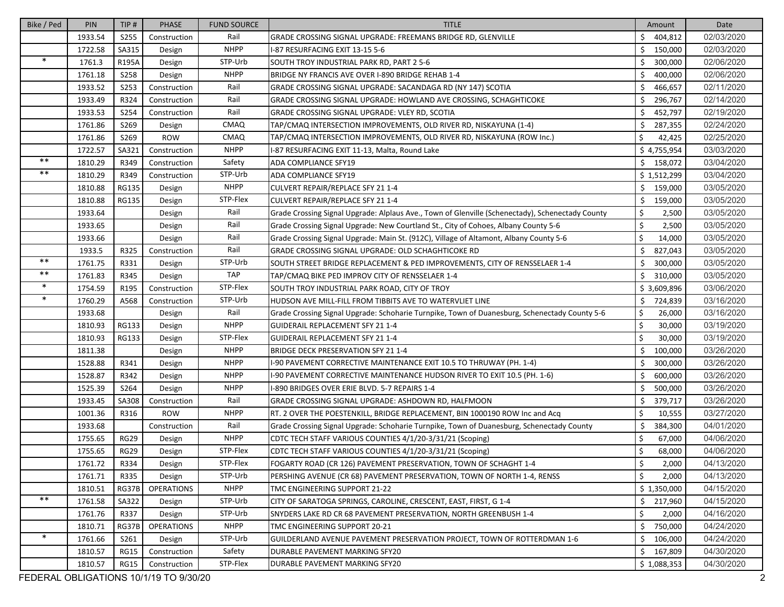| Bike / Ped | PIN     | TIP#         | <b>PHASE</b>      | <b>FUND SOURCE</b> | <b>TITLE</b>                                                                                     | Amount                 | Date       |
|------------|---------|--------------|-------------------|--------------------|--------------------------------------------------------------------------------------------------|------------------------|------------|
|            | 1933.54 | S255         | Construction      | Rail               | GRADE CROSSING SIGNAL UPGRADE: FREEMANS BRIDGE RD, GLENVILLE                                     | Ś.<br>404,812          | 02/03/2020 |
|            | 1722.58 | SA315        | Design            | <b>NHPP</b>        | -87 RESURFACING EXIT 13-15 5-6                                                                   | Ś.<br>150,000          | 02/03/2020 |
| $\ast$     | 1761.3  | R195A        | Design            | STP-Urb            | SOUTH TROY INDUSTRIAL PARK RD, PART 2 5-6                                                        | Ś.<br>300,000          | 02/06/2020 |
|            | 1761.18 | <b>S258</b>  | Design            | <b>NHPP</b>        | BRIDGE NY FRANCIS AVE OVER I-890 BRIDGE REHAB 1-4                                                | Ś.<br>400,000          | 02/06/2020 |
|            | 1933.52 | <b>S253</b>  | Construction      | Rail               | GRADE CROSSING SIGNAL UPGRADE: SACANDAGA RD (NY 147) SCOTIA                                      | \$<br>466,657          | 02/11/2020 |
|            | 1933.49 | R324         | Construction      | Rail               | GRADE CROSSING SIGNAL UPGRADE: HOWLAND AVE CROSSING, SCHAGHTICOKE                                | \$<br>296,767          | 02/14/2020 |
|            | 1933.53 | S254         | Construction      | Rail               | GRADE CROSSING SIGNAL UPGRADE: VLEY RD, SCOTIA                                                   | Ś<br>452,797           | 02/19/2020 |
|            | 1761.86 | S269         | Design            | CMAQ               | TAP/CMAQ INTERSECTION IMPROVEMENTS, OLD RIVER RD, NISKAYUNA (1-4)                                | \$<br>287,355          | 02/24/2020 |
|            | 1761.86 | S269         | <b>ROW</b>        | CMAQ               | TAP/CMAQ INTERSECTION IMPROVEMENTS, OLD RIVER RD, NISKAYUNA (ROW Inc.)                           | \$<br>42,425           | 02/25/2020 |
|            | 1722.57 | SA321        | Construction      | <b>NHPP</b>        | I-87 RESURFACING EXIT 11-13, Malta, Round Lake                                                   | \$4,755,954            | 03/03/2020 |
| $***$      | 1810.29 | R349         | Construction      | Safety             | <b>ADA COMPLIANCE SFY19</b>                                                                      | \$158,072              | 03/04/2020 |
| $**$       | 1810.29 | R349         | Construction      | STP-Urb            | ADA COMPLIANCE SFY19                                                                             | \$1,512,299            | 03/04/2020 |
|            | 1810.88 | <b>RG135</b> | Design            | <b>NHPP</b>        | CULVERT REPAIR/REPLACE SFY 21 1-4                                                                | \$159,000              | 03/05/2020 |
|            | 1810.88 | <b>RG135</b> | Design            | STP-Flex           | CULVERT REPAIR/REPLACE SFY 21 1-4                                                                | \$<br>159,000          | 03/05/2020 |
|            | 1933.64 |              | Design            | Rail               | Grade Crossing Signal Upgrade: Alplaus Ave., Town of Glenville (Schenectady), Schenectady County | \$<br>2,500            | 03/05/2020 |
|            | 1933.65 |              | Design            | Rail               | Grade Crossing Signal Upgrade: New Courtland St., City of Cohoes, Albany County 5-6              | \$<br>2,500            | 03/05/2020 |
|            | 1933.66 |              | Design            | Rail               | Grade Crossing Signal Upgrade: Main St. (912C), Village of Altamont, Albany County 5-6           | \$<br>14,000           | 03/05/2020 |
|            | 1933.5  | R325         | Construction      | Rail               | GRADE CROSSING SIGNAL UPGRADE: OLD SCHAGHTICOKE RD                                               | Ś<br>827,043           | 03/05/2020 |
| $***$      | 1761.75 | R331         | Design            | STP-Urb            | SOUTH STREET BRIDGE REPLACEMENT & PED IMPROVEMENTS, CITY OF RENSSELAER 1-4                       | \$<br>300,000          | 03/05/2020 |
| $***$      | 1761.83 | R345         | Design            | <b>TAP</b>         | TAP/CMAQ BIKE PED IMPROV CITY OF RENSSELAER 1-4                                                  | Ś.<br>310,000          | 03/05/2020 |
| $\ast$     | 1754.59 | R195         | Construction      | STP-Flex           | SOUTH TROY INDUSTRIAL PARK ROAD, CITY OF TROY                                                    | \$3,609,896            | 03/06/2020 |
| $\ast$     | 1760.29 | A568         | Construction      | STP-Urb            | HUDSON AVE MILL-FILL FROM TIBBITS AVE TO WATERVLIET LINE                                         | \$<br>724,839          | 03/16/2020 |
|            | 1933.68 |              | Design            | Rail               | Grade Crossing Signal Upgrade: Schoharie Turnpike, Town of Duanesburg, Schenectady County 5-6    | \$<br>26,000           | 03/16/2020 |
|            | 1810.93 | RG133        | Design            | <b>NHPP</b>        | <b>GUIDERAIL REPLACEMENT SFY 21 1-4</b>                                                          | \$<br>30,000           | 03/19/2020 |
|            | 1810.93 | <b>RG133</b> | Design            | STP-Flex           | <b>GUIDERAIL REPLACEMENT SFY 21 1-4</b>                                                          | \$<br>30,000           | 03/19/2020 |
|            | 1811.38 |              | Design            | <b>NHPP</b>        | BRIDGE DECK PRESERVATION SFY 21 1-4                                                              | \$<br>100,000          | 03/26/2020 |
|            | 1528.88 | R341         | Design            | <b>NHPP</b>        | -90 PAVEMENT CORRECTIVE MAINTENANCE EXIT 10.5 TO THRUWAY (PH. 1-4)                               | \$<br>300,000          | 03/26/2020 |
|            | 1528.87 | R342         | Design            | <b>NHPP</b>        | -90 PAVEMENT CORRECTIVE MAINTENANCE HUDSON RIVER TO EXIT 10.5 (PH. 1-6)                          | \$<br>600,000          | 03/26/2020 |
|            | 1525.39 | S264         | Design            | <b>NHPP</b>        | -890 BRIDGES OVER ERIE BLVD. 5-7 REPAIRS 1-4                                                     | Ś.<br>500,000          | 03/26/2020 |
|            | 1933.45 | SA308        | Construction      | Rail               | GRADE CROSSING SIGNAL UPGRADE: ASHDOWN RD, HALFMOON                                              | \$<br>379,717          | 03/26/2020 |
|            | 1001.36 | R316         | <b>ROW</b>        | <b>NHPP</b>        | RT. 2 OVER THE POESTENKILL, BRIDGE REPLACEMENT, BIN 1000190 ROW Inc and Acq                      | \$<br>10,555           | 03/27/2020 |
|            | 1933.68 |              | Construction      | Rail               | Grade Crossing Signal Upgrade: Schoharie Turnpike, Town of Duanesburg, Schenectady County        | Ś<br>384,300           | 04/01/2020 |
|            | 1755.65 | <b>RG29</b>  | Design            | <b>NHPP</b>        | CDTC TECH STAFF VARIOUS COUNTIES 4/1/20-3/31/21 (Scoping)                                        | \$<br>67,000           | 04/06/2020 |
|            | 1755.65 | <b>RG29</b>  | Design            | STP-Flex           | CDTC TECH STAFF VARIOUS COUNTIES 4/1/20-3/31/21 (Scoping)                                        | \$<br>68,000           | 04/06/2020 |
|            | 1761.72 | R334         | Design            | STP-Flex           | FOGARTY ROAD (CR 126) PAVEMENT PRESERVATION, TOWN OF SCHAGHT 1-4                                 | 2,000<br>$\Rightarrow$ | 04/13/2020 |
|            | 1761.71 | R335         | Design            | STP-Urb            | PERSHING AVENUE (CR 68) PAVEMENT PRESERVATION, TOWN OF NORTH 1-4, RENSS                          | \$<br>2,000            | 04/13/2020 |
|            | 1810.51 | RG37B        | <b>OPERATIONS</b> | <b>NHPP</b>        | TMC ENGINEERING SUPPORT 21-22                                                                    | \$1,350,000            | 04/15/2020 |
| $***$      | 1761.58 | SA322        | Design            | STP-Urb            | CITY OF SARATOGA SPRINGS, CAROLINE, CRESCENT, EAST, FIRST, G 1-4                                 | \$217,960              | 04/15/2020 |
|            | 1761.76 | R337         | Design            | STP-Urb            | SNYDERS LAKE RD CR 68 PAVEMENT PRESERVATION, NORTH GREENBUSH 1-4                                 | \$<br>2,000            | 04/16/2020 |
|            | 1810.71 | RG37B        | <b>OPERATIONS</b> | <b>NHPP</b>        | TMC ENGINEERING SUPPORT 20-21                                                                    | \$<br>750,000          | 04/24/2020 |
| $\ast$     | 1761.66 | S261         | Design            | STP-Urb            | GUILDERLAND AVENUE PAVEMENT PRESERVATION PROJECT, TOWN OF ROTTERDMAN 1-6                         | \$.<br>106,000         | 04/24/2020 |
|            | 1810.57 | <b>RG15</b>  | Construction      | Safety             | DURABLE PAVEMENT MARKING SFY20                                                                   | \$167,809              | 04/30/2020 |
|            | 1810.57 | <b>RG15</b>  | Construction      | STP-Flex           | DURABLE PAVEMENT MARKING SFY20                                                                   | \$1,088,353            | 04/30/2020 |